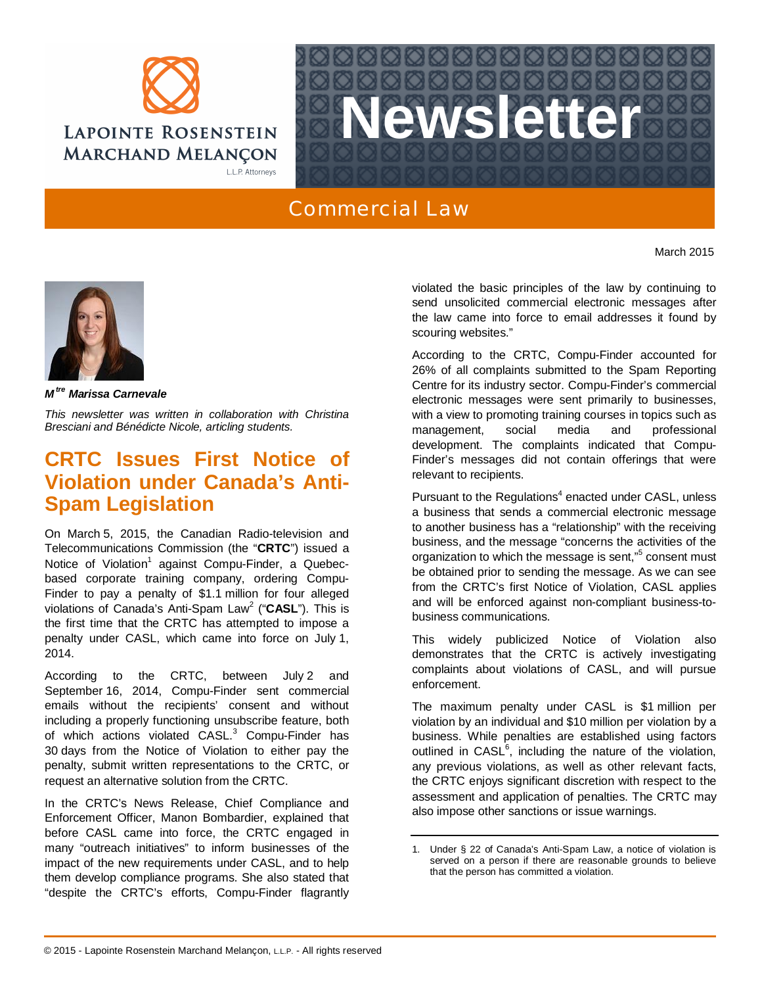



## Commercial Law

*M tre Marissa Carnevale*

*This newsletter was written in collaboration with [Christina](http://www.lrmm.com/fr-CA/%C3%89quipe/Avocats/Avocate+Carnevale+Marissa) Bresciani and Bénédicte Nicole, articling students.*

## **CRTC Issues First Notice of Violation under Canada's Anti-Spam Legislation**

On March 5, 2015, the Canadian Radio-television and Telecommunications Commission (the "**CRTC**") issued a Notice of Violation<sup>1</sup> against Compu-Finder, a Quebecbased corporate training company, ordering Compu-Finder to pay a penalty of \$1.1 million for four alleged violations of Canada's Anti-Spam Law<sup>2</sup> ("CASL"). This is the first time that the CRTC has attempted to impose a penalty under CASL, which came into force on July 1, 2014.

According to the CRTC, between July 2 and September 16, 2014, Compu-Finder sent commercial emails without the recipients' consent and without including a properly functioning unsubscribe feature, both of which actions violated CASL.<sup>3</sup> Compu-Finder has 30 days from the Notice of Violation to either pay the penalty, submit written representations to the CRTC, or request an alternative solution from the CRTC.

In the CRTC's News Release, Chief Compliance and Enforcement Officer, Manon Bombardier, explained that before CASL came into force, the CRTC engaged in many "outreach initiatives" to inform businesses of the impact of the new requirements under CASL, and to help them develop compliance programs. She also stated that "despite the CRTC's efforts, Compu-Finder flagrantly violated the basic principles of the law by continuing to send unsolicited commercial electronic messages after the law came into force to email addresses it found by scouring websites."

March 2015

According to the CRTC, Compu-Finder accounted for 26% of all complaints submitted to the Spam Reporting Centre for its industry sector. Compu-Finder's commercial electronic messages were sent primarily to businesses, with a view to promoting training courses in topics such as management, social media and professional development. The complaints indicated that Compu-Finder's messages did not contain offerings that were relevant to recipients.

Pursuant to the Regulations<sup>4</sup> enacted under CASL, unless a business that sends a commercial electronic message to another business has a "relationship" with the receiving business, and the message "concerns the activities of the organization to which the message is sent,"<sup>5</sup> consent must be obtained prior to sending the message. As we can see from the CRTC's first Notice of Violation, CASL applies and will be enforced against non-compliant business-tobusiness communications.

This widely publicized Notice of Violation also demonstrates that the CRTC is actively investigating complaints about violations of CASL, and will pursue enforcement.

The maximum penalty under CASL is \$1 million per violation by an individual and \$10 million per violation by a business. While penalties are established using factors outlined in  $CASL<sup>6</sup>$ , including the nature of the violation, any previous violations, as well as other relevant facts, the CRTC enjoys significant discretion with respect to the assessment and application of penalties. The CRTC may also impose other sanctions or issue warnings.

<sup>1.</sup> Under § 22 of Canada's Anti-Spam Law, a notice of violation is served on a person if there are reasonable grounds to believe that the person has committed a violation.